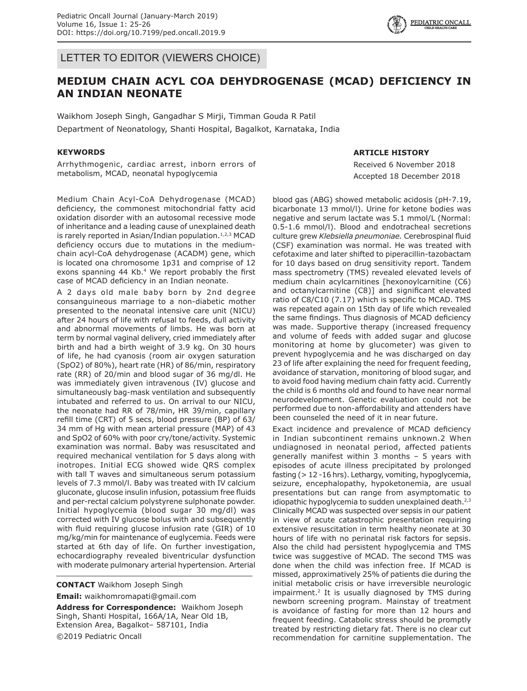LETTER TO EDITOR (VIEWERS CHOICE)

# **MEDIUM CHAIN ACYL COA DEHYDROGENASE (MCAD) DEFICIENCY IN AN INDIAN NEONATE**

Waikhom Joseph Singh, Gangadhar S Mirji, Timman Gouda R Patil Department of Neonatology, Shanti Hospital, Bagalkot, Karnataka, India

### **KEYWORDS**

Arrhythmogenic, cardiac arrest, inborn errors of metabolism, MCAD, neonatal hypoglycemia

Medium Chain Acyl-CoA Dehydrogenase (MCAD) deficiency, the commonest mitochondrial fatty acid oxidation disorder with an autosomal recessive mode of inheritance and a leading cause of unexplained death is rarely reported in Asian/Indian population.<sup>1,2,3</sup> MCAD deficiency occurs due to mutations in the mediumchain acyl-CoA dehydrogenase (ACADM) gene, which is located ona chromosome 1p31 and comprise of 12 exons spanning 44 Kb.<sup>4</sup> We report probably the first case of MCAD deficiency in an Indian neonate.

A 2 days old male baby born by 2nd degree consanguineous marriage to a non-diabetic mother presented to the neonatal intensive care unit (NICU) after 24 hours of life with refusal to feeds, dull activity and abnormal movements of limbs. He was born at term by normal vaginal delivery, cried immediately after birth and had a birth weight of 3.9 kg. On 30 hours of life, he had cyanosis (room air oxygen saturation (SpO2) of 80%), heart rate (HR) of 86/min, respiratory rate (RR) of 20/min and blood sugar of 36 mg/dl. He was immediately given intravenous (IV) glucose and simultaneously bag-mask ventilation and subsequently intubated and referred to us. On arrival to our NICU, the neonate had RR of 78/min, HR 39/min, capillary refill time (CRT) of 5 secs, blood pressure (BP) of 63/ 34 mm of Hg with mean arterial pressure (MAP) of 43 and SpO2 of 60% with poor cry/tone/activity. Systemic examination was normal. Baby was resuscitated and required mechanical ventilation for 5 days along with inotropes. Initial ECG showed wide QRS complex with tall T waves and simultaneous serum potassium levels of 7.3 mmol/l. Baby was treated with IV calcium gluconate, glucose insulin infusion, potassium free fluids and per-rectal calcium polystyrene sulphonate powder. Initial hypoglycemia (blood sugar 30 mg/dl) was corrected with IV glucose bolus with and subsequently with fluid requiring glucose infusion rate (GIR) of 10 mg/kg/min for maintenance of euglycemia. Feeds were started at 6th day of life. On further investigation, echocardiography revealed biventricular dysfunction with moderate pulmonary arterial hypertension. Arterial

**CONTACT** Waikhom Joseph Singh

**Email:** waikhomromapati@gmail.com

**Address for Correspondence:** Waikhom Joseph Singh, Shanti Hospital, 166A/1A, Near Old 1B, Extension Area, Bagalkot– 587101, India ©2019 Pediatric Oncall

### **ARTICLE HISTORY**

Received 6 November 2018 Accepted 18 December 2018

blood gas (ABG) showed metabolic acidosis (pH-7.19, bicarbonate 13 mmol/l). Urine for ketone bodies was negative and serum lactate was 5.1 mmol/L (Normal: 0.5-1.6 mmol/l). Blood and endotracheal secretions culture grew *Klebsiella pneumoniae.* Cerebrospinal fluid (CSF) examination was normal. He was treated with cefotaxime and later shifted to piperacillin-tazobactam for 10 days based on drug sensitivity report. Tandem mass spectrometry (TMS) revealed elevated levels of medium chain acylcarnitines [hexonoylcarnitine (C6) and octanylcarnitine (C8)] and significant elevated ratio of C8/C10 (7.17) which is specific to MCAD. TMS was repeated again on 15th day of life which revealed the same findings. Thus diagnosis of MCAD deficiency was made. Supportive therapy (increased frequency and volume of feeds with added sugar and glucose monitoring at home by glucometer) was given to prevent hypoglycemia and he was discharged on day 23 of life after explaining the need for frequent feeding, avoidance of starvation, monitoring of blood sugar, and to avoid food having medium chain fatty acid. Currently the child is 6 months old and found to have near normal neurodevelopment. Genetic evaluation could not be performed due to non-affordability and attenders have been counseled the need of it in near future.

Exact incidence and prevalence of MCAD deficiency in Indian subcontinent remains unknown.2 When undiagnosed in neonatal period, affected patients generally manifest within 3 months – 5 years with episodes of acute illness precipitated by prolonged fasting (> 12 -16 hrs). Lethargy, vomiting, hypoglycemia, seizure, encephalopathy, hypoketonemia, are usual presentations but can range from asymptomatic to idiopathic hypoglycemia to sudden unexplained death. $2,3$ Clinically MCAD was suspected over sepsis in our patient in view of acute catastrophic presentation requiring extensive resuscitation in term healthy neonate at 30 hours of life with no perinatal risk factors for sepsis. Also the child had persistent hypoglycemia and TMS twice was suggestive of MCAD. The second TMS was done when the child was infection free. If MCAD is missed, approximatively 25% of patients die during the initial metabolic crisis or have irreversible neurologic impairment.<sup>2</sup> It is usually diagnosed by TMS during newborn screening program. Mainstay of treatment is avoidance of fasting for more than 12 hours and frequent feeding. Catabolic stress should be promptly treated by restricting dietary fat. There is no clear cut recommendation for carnitine supplementation. The